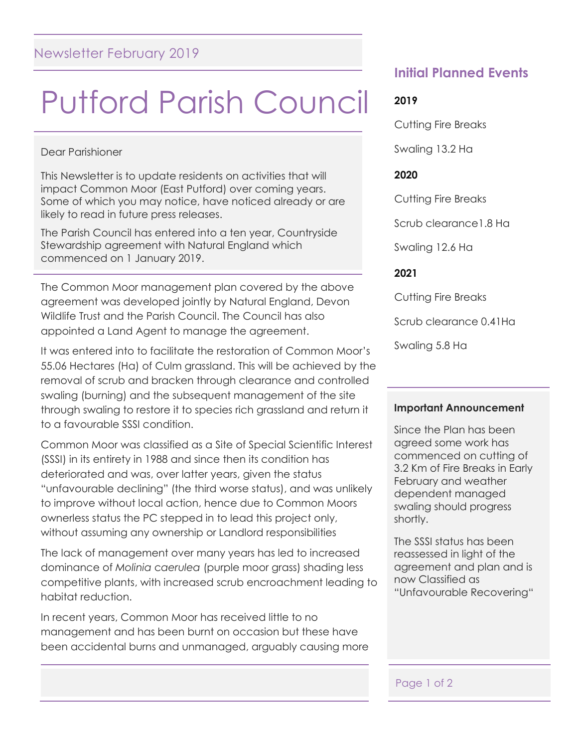# Putford Parish Council

Dear Parishioner

This Newsletter is to update residents on activities that will impact Common Moor (East Putford) over coming years. Some of which you may notice, have noticed already or are likely to read in future press releases.

The Parish Council has entered into a ten year, Countryside Stewardship agreement with Natural England which commenced on 1 January 2019.

The Common Moor management plan covered by the above agreement was developed jointly by Natural England, Devon Wildlife Trust and the Parish Council. The Council has also appointed a Land Agent to manage the agreement.

It was entered into to facilitate the restoration of Common Moor's 55.06 Hectares (Ha) of Culm grassland. This will be achieved by the removal of scrub and bracken through clearance and controlled swaling (burning) and the subsequent management of the site through swaling to restore it to species rich grassland and return it to a favourable SSSI condition.

Common Moor was classified as a Site of Special Scientific Interest (SSSI) in its entirety in 1988 and since then its condition has deteriorated and was, over latter years, given the status "unfavourable declining" (the third worse status), and was unlikely to improve without local action, hence due to Common Moors ownerless status the PC stepped in to lead this project only, without assuming any ownership or Landlord responsibilities

The lack of management over many years has led to increased dominance of *Molinia* c*aerulea* (purple moor grass) shading less competitive plants, with increased scrub encroachment leading to habitat reduction.

In recent years, Common Moor has received little to no management and has been burnt on occasion but these have been accidental burns and unmanaged, arguably causing more

## **Initial Planned Events**

#### **2019**

Cutting Fire Breaks

Swaling 13.2 Ha

#### **2020**

Cutting Fire Breaks

Scrub clearance1.8 Ha

Swaling 12.6 Ha

#### **2021**

Cutting Fire Breaks

Scrub clearance 0.41Ha

Swaling 5.8 Ha

#### **Important Announcement**

Since the Plan has been agreed some work has commenced on cutting of 3.2 Km of Fire Breaks in Early February and weather dependent managed swaling should progress shortly.

The SSSI status has been reassessed in light of the agreement and plan and is now Classified as "Unfavourable Recovering"

#### Page 1 of 2